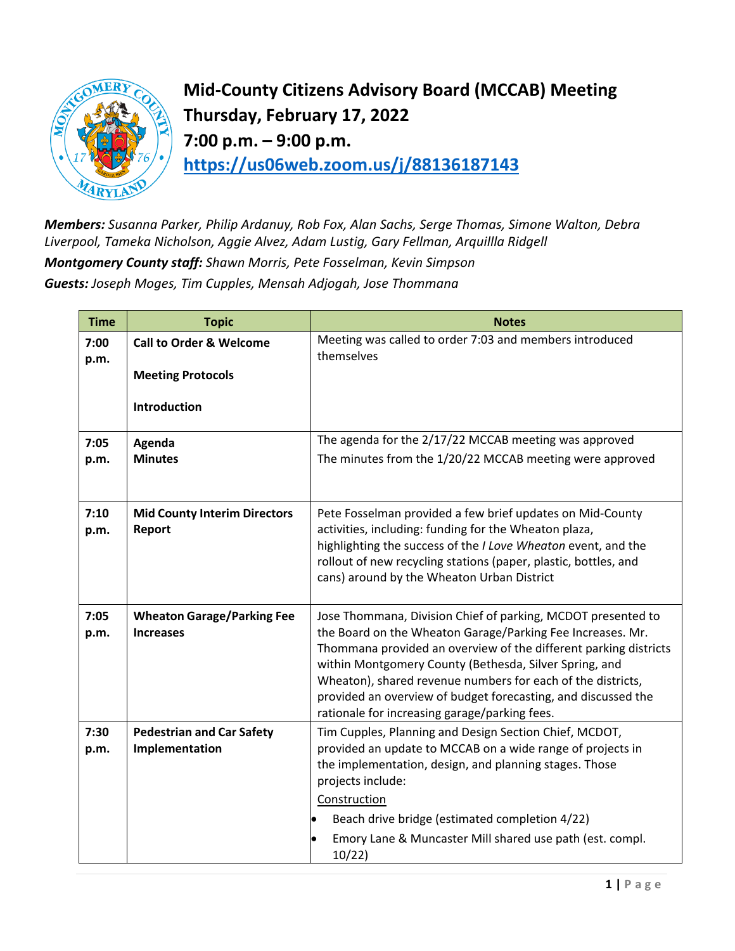

**Mid-County Citizens Advisory Board (MCCAB) Meeting Thursday, February 17, 2022 7:00 p.m. – 9:00 p.m. <https://us06web.zoom.us/j/88136187143>**

*Members: Susanna Parker, Philip Ardanuy, Rob Fox, Alan Sachs, Serge Thomas, Simone Walton, Debra Liverpool, Tameka Nicholson, Aggie Alvez, Adam Lustig, Gary Fellman, Arquillla Ridgell Montgomery County staff: Shawn Morris, Pete Fosselman, Kevin Simpson Guests: Joseph Moges, Tim Cupples, Mensah Adjogah, Jose Thommana*

| <b>Time</b>  | <b>Topic</b>                        | <b>Notes</b>                                                                                                               |
|--------------|-------------------------------------|----------------------------------------------------------------------------------------------------------------------------|
| 7:00<br>p.m. | <b>Call to Order &amp; Welcome</b>  | Meeting was called to order 7:03 and members introduced<br>themselves                                                      |
|              | <b>Meeting Protocols</b>            |                                                                                                                            |
|              | Introduction                        |                                                                                                                            |
| 7:05         | Agenda                              | The agenda for the 2/17/22 MCCAB meeting was approved                                                                      |
| p.m.         | <b>Minutes</b>                      | The minutes from the 1/20/22 MCCAB meeting were approved                                                                   |
|              |                                     |                                                                                                                            |
| 7:10         | <b>Mid County Interim Directors</b> | Pete Fosselman provided a few brief updates on Mid-County                                                                  |
| p.m.         | Report                              | activities, including: funding for the Wheaton plaza,<br>highlighting the success of the I Love Wheaton event, and the     |
|              |                                     | rollout of new recycling stations (paper, plastic, bottles, and                                                            |
|              |                                     | cans) around by the Wheaton Urban District                                                                                 |
| 7:05         | <b>Wheaton Garage/Parking Fee</b>   | Jose Thommana, Division Chief of parking, MCDOT presented to                                                               |
| p.m.         | <b>Increases</b>                    | the Board on the Wheaton Garage/Parking Fee Increases. Mr.                                                                 |
|              |                                     | Thommana provided an overview of the different parking districts<br>within Montgomery County (Bethesda, Silver Spring, and |
|              |                                     | Wheaton), shared revenue numbers for each of the districts,                                                                |
|              |                                     | provided an overview of budget forecasting, and discussed the                                                              |
| 7:30         | <b>Pedestrian and Car Safety</b>    | rationale for increasing garage/parking fees.<br>Tim Cupples, Planning and Design Section Chief, MCDOT,                    |
| p.m.         | Implementation                      | provided an update to MCCAB on a wide range of projects in                                                                 |
|              |                                     | the implementation, design, and planning stages. Those<br>projects include:                                                |
|              |                                     | Construction                                                                                                               |
|              |                                     | Beach drive bridge (estimated completion 4/22)                                                                             |
|              |                                     | Emory Lane & Muncaster Mill shared use path (est. compl.<br>10/22                                                          |